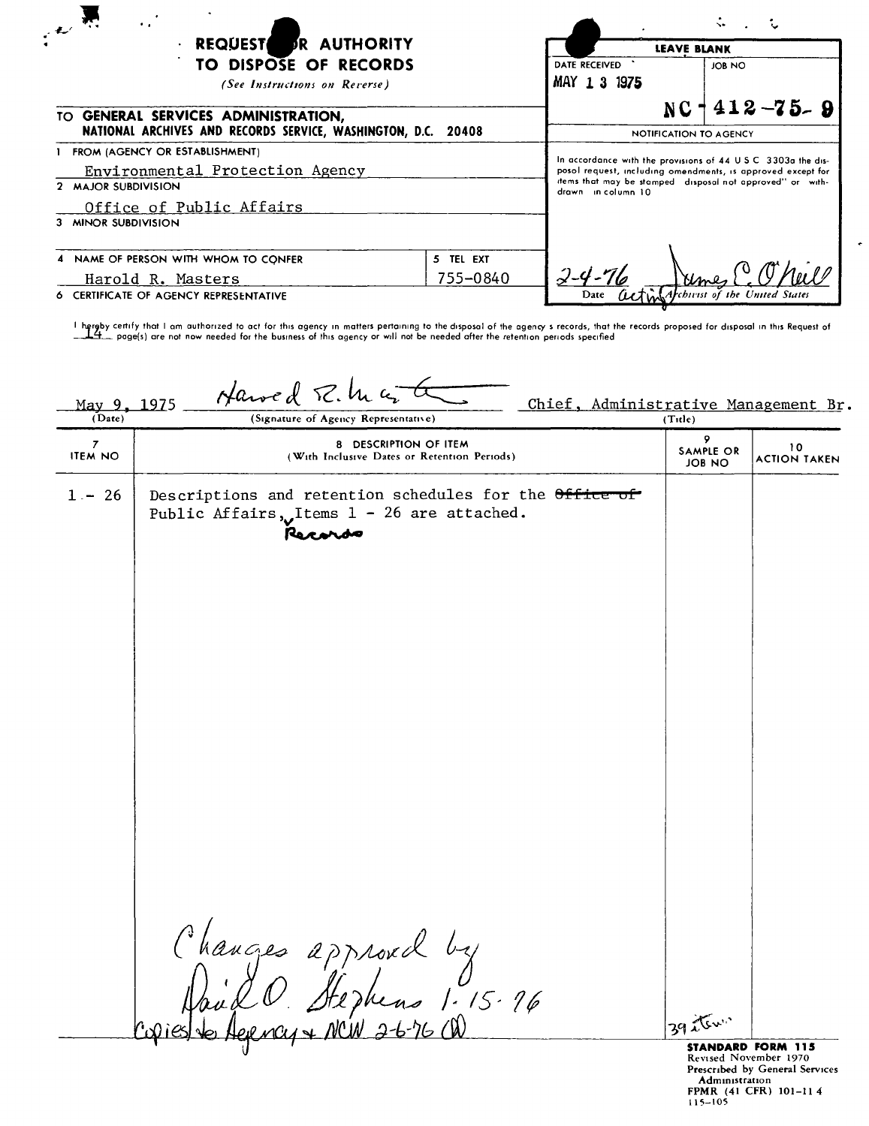| ٠.<br>$\mathcal{A} \mathcal{L}^{\mathcal{C}}$                                                                                                                                                       |           |                               |                    |                                                                                                                              |
|-----------------------------------------------------------------------------------------------------------------------------------------------------------------------------------------------------|-----------|-------------------------------|--------------------|------------------------------------------------------------------------------------------------------------------------------|
| REQUEST OR AUTHORITY<br>$\bullet$<br>TO DISPOSE OF RECORDS<br>(See Instructions on Reverse)<br>TO GENERAL SERVICES ADMINISTRATION.<br>NATIONAL ARCHIVES AND RECORDS SERVICE, WASHINGTON, D.C. 20408 |           |                               | <b>LEAVE BLANK</b> |                                                                                                                              |
|                                                                                                                                                                                                     |           | DATE RECEIVED<br>MAY 1 3 1975 | JOB NO             |                                                                                                                              |
|                                                                                                                                                                                                     |           |                               |                    | $NC + 412 - 75 - 9$                                                                                                          |
|                                                                                                                                                                                                     |           |                               |                    | NOTIFICATION TO AGENCY                                                                                                       |
| FROM (AGENCY OR ESTABLISHMENT)<br>Environmental Protection Agency                                                                                                                                   |           |                               |                    | In accordance with the provisions of 44 U.S.C. 3303a the dis-<br>posol request, including omendments, is approved except for |
| 2 MAJOR SUBDIVISION<br>Office of Public Affairs                                                                                                                                                     |           | drawn in column 10            |                    | items that may be stamped disposal not approved" or with-                                                                    |
| 3 MINOR SUBDIVISION                                                                                                                                                                                 |           |                               |                    |                                                                                                                              |
| 4 NAME OF PERSON WITH WHOM TO CONFER                                                                                                                                                                | 5 TEL EXT |                               |                    |                                                                                                                              |
| 755-0840<br>Harold R. Masters                                                                                                                                                                       |           |                               |                    |                                                                                                                              |
| 6 CERTIFICATE OF AGENCY REPRESENTATIVE                                                                                                                                                              |           |                               |                    | Archivist of the United States                                                                                               |

I h.i-rljby certify that I am authorized to act for this agency In matters pertaining to the disposal of the agency s records, that the records proposed for disposal In this Request of ~\_ page{s) are not now needed for the business of this agency or will not be needed after the retention periods specrfled

| (Date)<br>(Signature of Agency Representative)<br>(Tite)<br>9<br>$\overline{7}$<br>8 DESCRIPTION OF ITEM<br>10<br>SAMPLE OR<br><b>ITEM NO</b><br>(With Inclusive Dates or Retention Periods)<br>JOB NO<br>$1 - 26$<br>Descriptions and retention schedules for the Office of<br>Public Affairs, Items $1 - 26$ are attached.<br>Records<br>Changes approvel by<br>Dand O. Stephens 1.15.16<br>Ieste Aerray + NCW 2-6-76 00<br>39 item<br><b>STANDARD FORM 115</b> | May 9, 1975 | Harved R.M.a. | Chief, Administrative Management Br. |                     |
|-------------------------------------------------------------------------------------------------------------------------------------------------------------------------------------------------------------------------------------------------------------------------------------------------------------------------------------------------------------------------------------------------------------------------------------------------------------------|-------------|---------------|--------------------------------------|---------------------|
|                                                                                                                                                                                                                                                                                                                                                                                                                                                                   |             |               |                                      |                     |
|                                                                                                                                                                                                                                                                                                                                                                                                                                                                   |             |               |                                      | <b>ACTION TAKEN</b> |
|                                                                                                                                                                                                                                                                                                                                                                                                                                                                   |             |               |                                      |                     |
|                                                                                                                                                                                                                                                                                                                                                                                                                                                                   |             |               |                                      |                     |
|                                                                                                                                                                                                                                                                                                                                                                                                                                                                   |             |               |                                      |                     |

Revised November 1970<br>**Administration<br>Administration<br>FPMR (41 CFR) 101–114<br>115–105**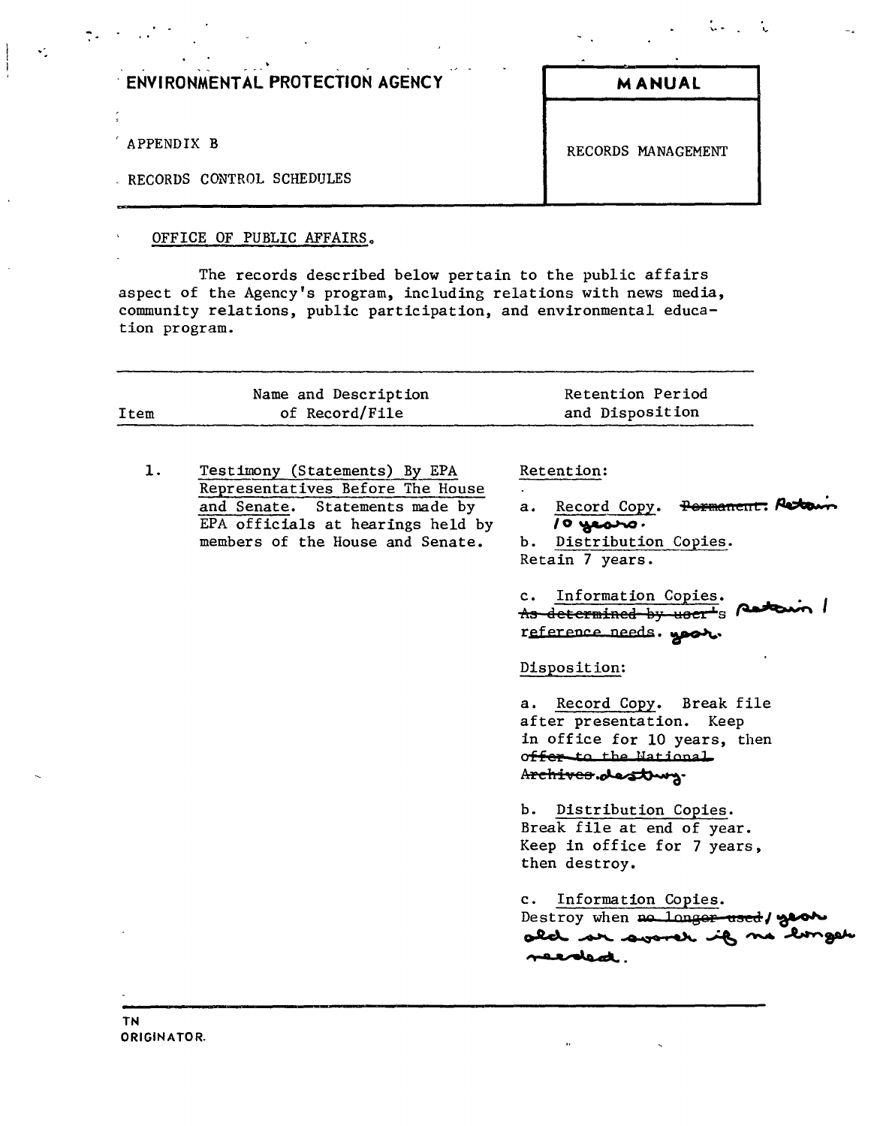|  | ENVIRONMENTAL PROTECTION AGENCY |
|--|---------------------------------|
|--|---------------------------------|

APPENDIX B RECORDS MANAGEMENT

 $\ddot{\cdot}$ 

 $\mathcal{L}^{\pm}$ 

RECORDS CONTROL SCHEDULES

## OFFICE OF PUBLIC AFFAIRS.

The records described below pertain to the public affairs aspect of the Agency's program, including relations with news media, community relations, public participation, and environmental education program.

**EXAMUAL** 

| Item | Name and Description<br>of Record/File                                                                                                                                       | Retention Period<br>and Disposition                                                                                                  |
|------|------------------------------------------------------------------------------------------------------------------------------------------------------------------------------|--------------------------------------------------------------------------------------------------------------------------------------|
| 1.   | Testimony (Statements) By EPA<br>Representatives Before The House<br>and Senate. Statements made by<br>EPA officials at hearings held by<br>members of the House and Senate. | Retention:<br>a. Record Copy. Permanent: Peto<br>$10$ years.<br>b. Distribution Copies.<br>Retain 7 years.<br>c. Information Copies. |
|      |                                                                                                                                                                              | As determined by user's partir /<br>reference needs. you.<br>Disposition:                                                            |
|      |                                                                                                                                                                              | a. Record Copy. Break file<br>after presentation. Keep<br>in office for 10 years, then<br>offer to the National<br>Archives.destury. |
|      |                                                                                                                                                                              | b. Distribution Copies.<br>Break file at end of year.<br>Keep in office for 7 years,<br>then destroy.                                |
|      |                                                                                                                                                                              | Information Copies.<br>$\mathbf{c}$ .<br>Destroy when no longer used / year<br>merded.                                               |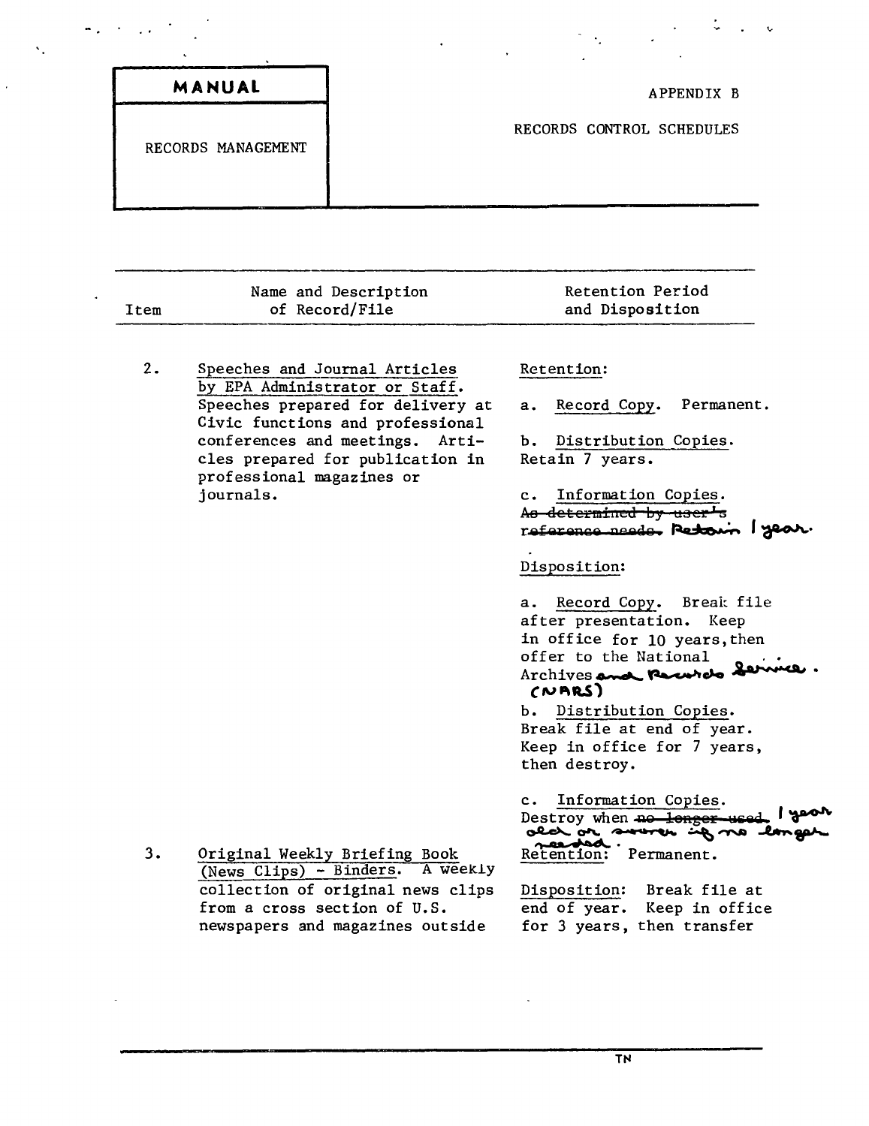| MANUAL<br>--       | APPENDIX B                |
|--------------------|---------------------------|
| RECORDS MANAGEMENT | RECORDS CONTROL SCHEDULES |
|                    |                           |

| Item | Name and Description<br>of Record/File | Retention Period<br>and Dispo <b>si</b> tion |
|------|----------------------------------------|----------------------------------------------|
|      |                                        |                                              |

 $2.$ Speeches and Journal Articles by EPA Administrator or Staff. Speeches prepared for delivery at Civic functions and professional conferences and meetings. Articles prepared for publication in professional magazines or journals.

 $\sigma_{\rm{max}}=0.01$  and

k.

## Retention:

Record Copy. Permanent.  $a.$ 

b. Distribution Copies. Retain 7 years.

c. Information Copies. As determined by user's reference needs. Retown I year.

 $\mathcal{L} = \mathcal{L} \times \mathcal{L}$ 

#### Disposition:

a. Record Copy. Break file after presentation. Keep in office for 10 years, then offer to the National Archives and Percerel Service  $(NRRS)$ 

b. Distribution Copies. Break file at end of year. Keep in office for 7 years, then destroy.

c. Information Copies. Destroy when no longer used I good ala or sware up no langer Retention: Permanent.

Disposition: Break file at end of year. Keep in office for 3 years, then transfer

 $3.$ Original Weekly Briefing Book (News Clips) - Binders. A weekly collection of original news clips from a cross section of U.S. newspapers and magazines outside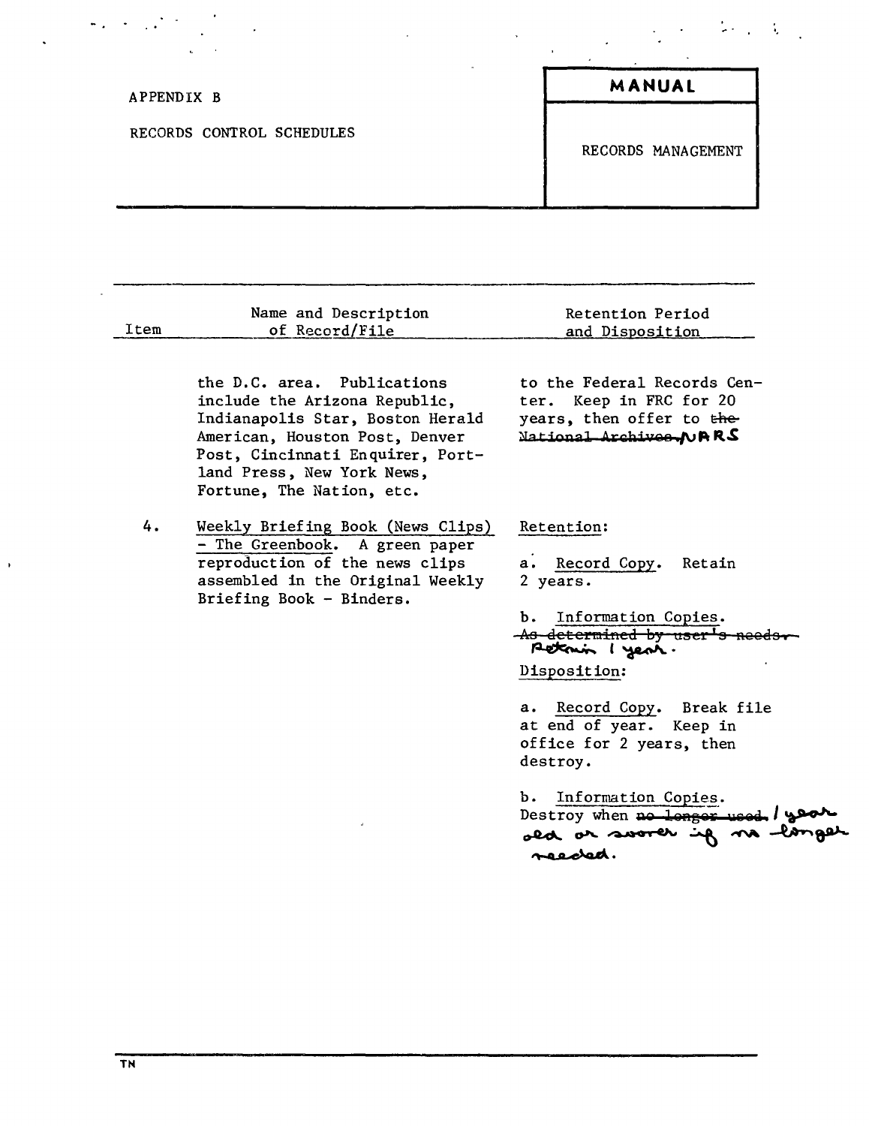| APPENDIX B                | MANUAL             |
|---------------------------|--------------------|
| RECORDS CONTROL SCHEDULES | RECORDS MANAGEMENT |

| Item | Name and Description<br>of Record/File                                                                                                                                                                                            | Retention Period<br>and Disposition                                                                                                                                                                                                                                                                                                                    |
|------|-----------------------------------------------------------------------------------------------------------------------------------------------------------------------------------------------------------------------------------|--------------------------------------------------------------------------------------------------------------------------------------------------------------------------------------------------------------------------------------------------------------------------------------------------------------------------------------------------------|
|      | the D.C. area. Publications<br>include the Arizona Republic,<br>Indianapolis Star, Boston Herald<br>American, Houston Post, Denver<br>Post, Cincinnati Enquirer, Port-<br>land Press, New York News,<br>Fortune, The Nation, etc. | to the Federal Records Cen-<br>ter. Keep in FRC for 20<br>years, then offer to the<br>National Archives, NARS                                                                                                                                                                                                                                          |
| 4.   | Weekly Briefing Book (News Clips)<br>- The Greenbook. A green paper<br>reproduction of the news clips<br>assembled in the Original Weekly<br>Briefing Book - Binders.                                                             | Retention:<br>a. Record Copy.<br>Retain<br>2 years.<br>b.<br>Information Copies.<br>As determined by user's ne<br>Retain I yest.<br>Disposition:<br>a. Record Copy. Break file<br>at end of year. Keep in<br>office for 2 years, then<br>destroy.<br>Information Copies.<br>ъ.<br>Destroy when no longer used / year<br>old or soorer if no<br>reeded. |

 $\ddot{\phantom{0}}$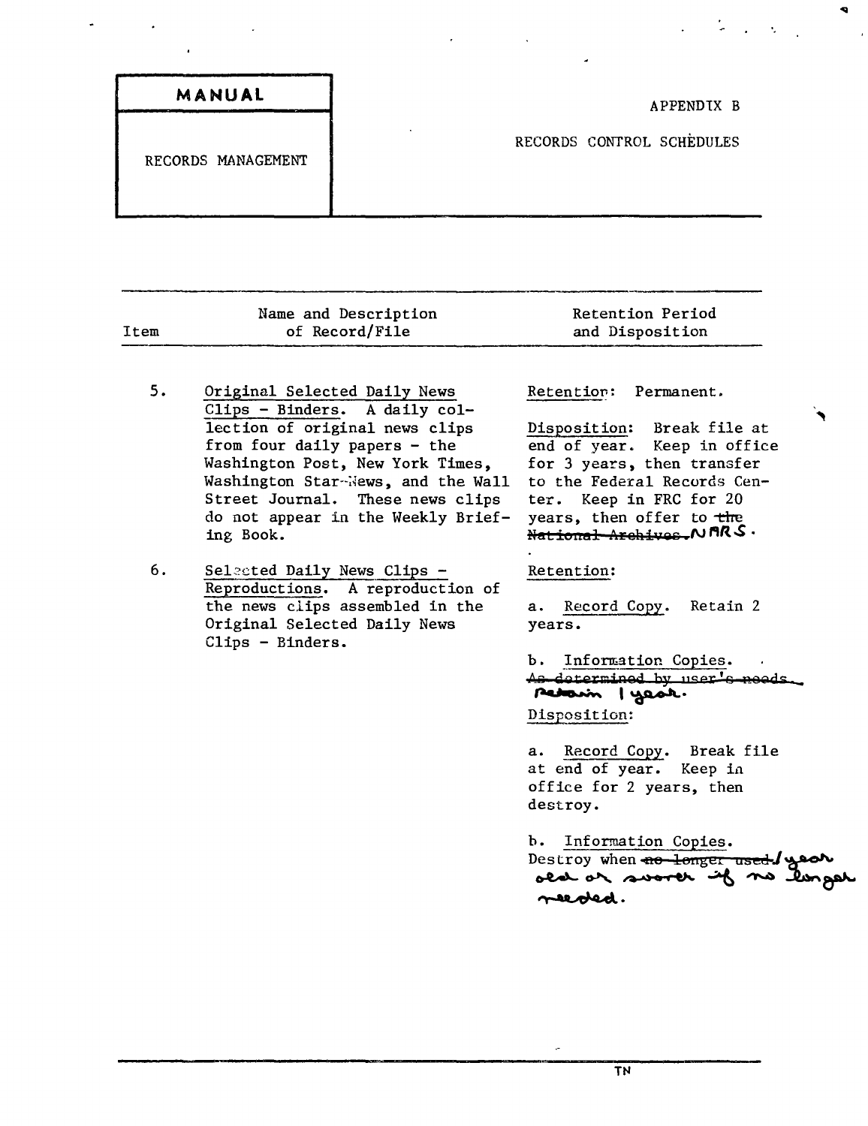| MANUAL             |
|--------------------|
|                    |
| RECORDS MANAGEMENT |
|                    |

|      | Name and Description | <b>Retention Period</b> |
|------|----------------------|-------------------------|
| Item | of Record/File       | and Disposition         |
|      |                      |                         |

- 5. Original Selected Daily News Clips - Binders. A daily collection of original news clips from four daily papers - the Washington Post, New York Times, Washington Star-News, and the Wall Street Journal. These news clips do not appear in the Weekly Briefing Book.
- 6. Selected Daily News Clips -Reproductions. A reproduction of the news clips assembled in the Original Selected Daily News Clips - Binders.

Retention: Permanent.

Disposition: Break file at end of year. Keep in office for 3 years, then transfer to the Federal Records Center. Keep in FRC for 20 years, then offer to the  $R$ <del>*National Archives.</del> N <code>ARS</code> .</del>* 

#### Retention:

a. Record Copy. Retain 2 years.

b. Information Copies. **,\8 QilltermiR8Q bJT 11Ser ' 0** R9Qd~ Petarin | yest. Disposition:

a. Record Copy. Break file at end of year. Keep in office for 2 years, then destroy.

b. Information Copies. Destroy when  $\overline{+e}$  onger used  $\overline{+e}$ old or sworth if no longer  $\tau$ eeobed.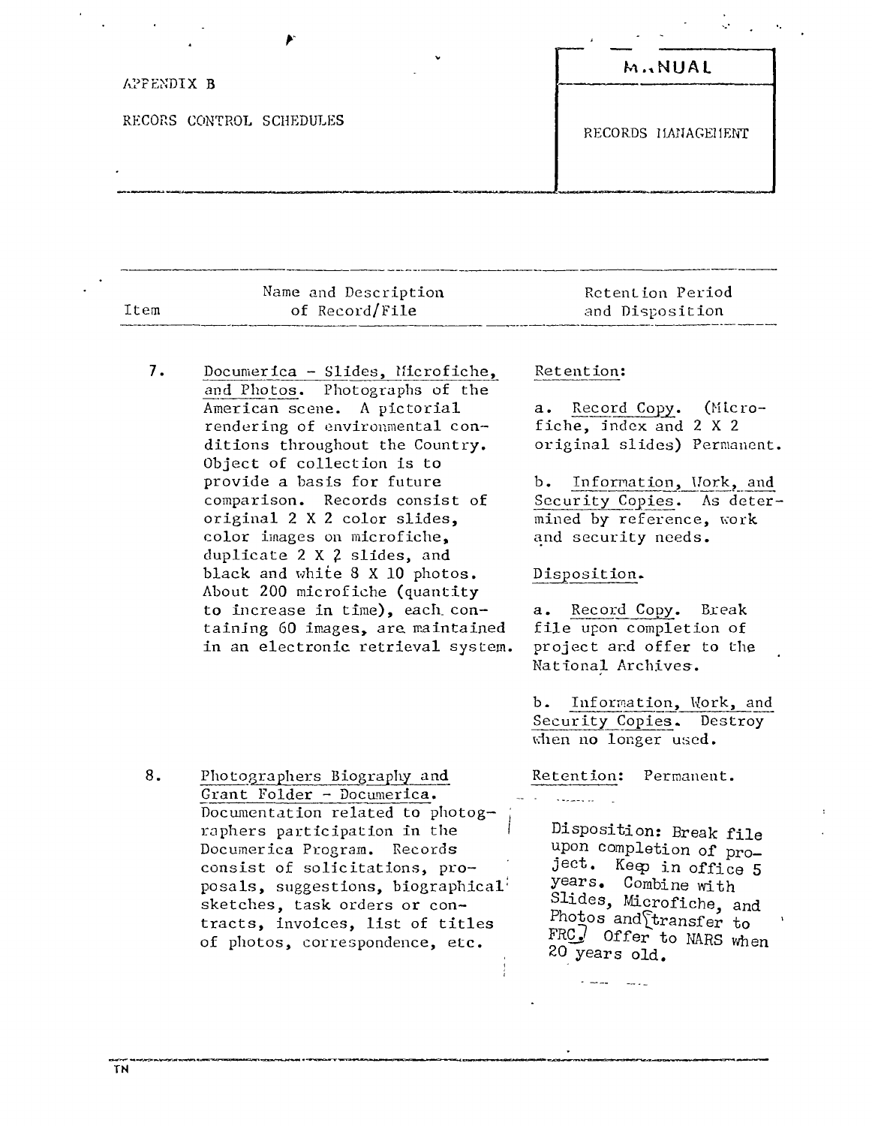| v                        | <b>M.NUAL</b>      |
|--------------------------|--------------------|
| APPENDIX B               |                    |
| RECORS CONTROL SCHEDULES | RECORDS MANAGEMENT |
|                          |                    |

|      | Name and Description | Retention Period |
|------|----------------------|------------------|
| Item | of Record/File       | and Disposition  |

7. Documerica - Slides, Hicrofiche, and Photos. Photographs of the American scene. A pictorial rendering of environmental conditions throughout the Country. Object of collection is to provide a basis for future comparison. Records consist of original 2 X 2 color slides, color images on microfiche, duplicate 2 X 2 slides, and black and white 8 X 10 photos. About 200 microfiche (quantity to increase in time), each containing 60 images, are maintained in an electronic retrieval system.

#### Retention:

a. Record Copy. (Microfiche, index and 2 X 2 original slides) Permanent.

','

b. Information, Work, and Security Copies. As determined by reference, work and security needs.

#### Disposition.

a. Record CODy. Break file upon completion of project and offer to the National Archives.

b. Information, Work, and Security Copies. Destroy when no longer used.

Retention: Permanent.

Disposition: Break file upon completion of project. Keep in office 5 years. Combine with Slides, Microfiche, and Photos and transfer to *FRQ)* Offer to NARS when 20 years old.

8. Photographers Biography and Grant Folder - Documerica. Documentation related to photographers participation in the Documerica Program. Records consist of solicitations, proposals, suggestions, biographical<sup>1</sup> sketches, task orders or contracts, invoices, list of titles of photos, correspondence, etc.

TN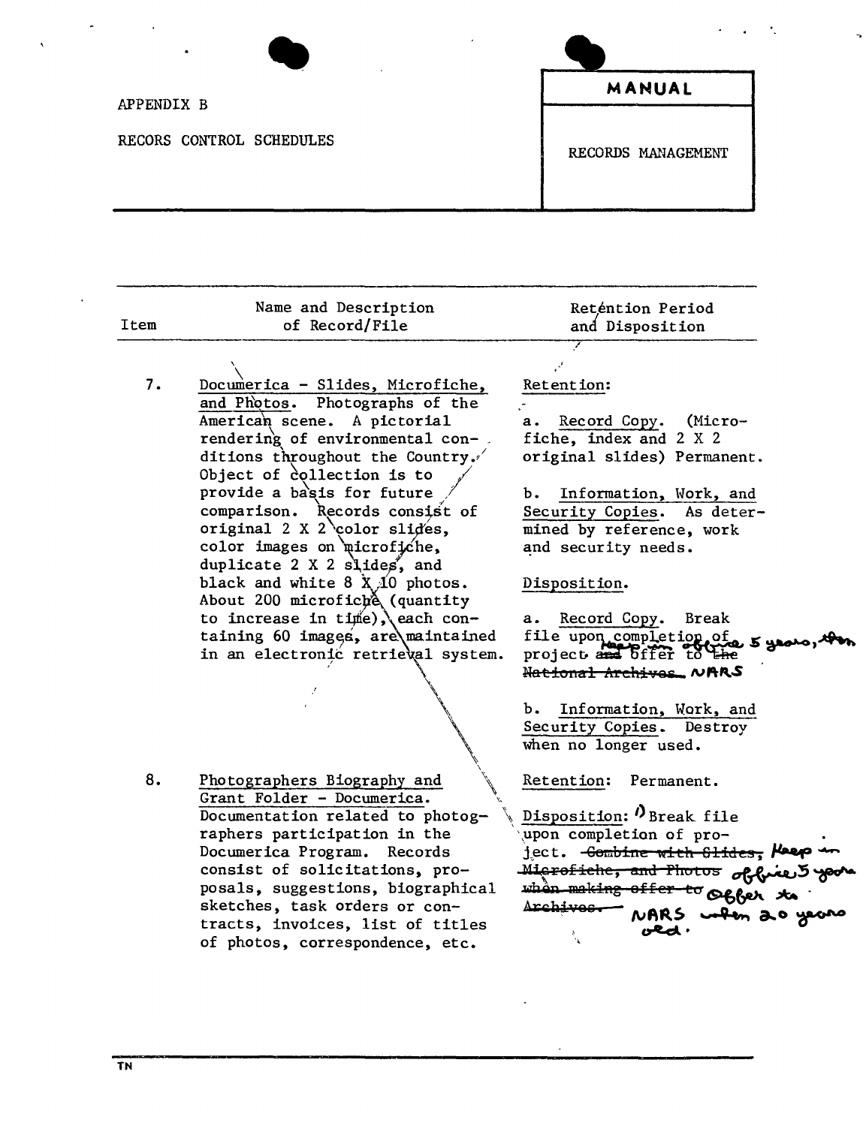| APPENDIX B               | MANUAL             |  |
|--------------------------|--------------------|--|
| RECORS CONTROL SCHEDULES | RECORDS MANAGEMENT |  |

| Item | Name and Description<br>of Record/File                                                                | Reténtion Period<br>and Disposition                                                                    |
|------|-------------------------------------------------------------------------------------------------------|--------------------------------------------------------------------------------------------------------|
|      |                                                                                                       |                                                                                                        |
| 7.   | Documerica - Slides, Microfiche,<br>and Photos. Photographs of the                                    | Retention:                                                                                             |
|      | American scene. A pictorial<br>rendering of environmental con-                                        | a. Record Copy. (Micro-<br>fiche, index and 2 X 2                                                      |
|      | ditions throughout the Country.<br>Object of collection is to                                         | original slides) Permanent.                                                                            |
|      | provide a basis for future<br>comparison. Records consist of                                          | Information, Work, and<br>Ъ.<br>Security Copies. As deter-                                             |
|      | original 2 X 2 color slides,                                                                          | mined by reference, work                                                                               |
|      | color images on microfiche,<br>duplicate 2 X 2 slides, and                                            | and security needs.                                                                                    |
|      | black and white $8 \times 10$ photos.                                                                 | Disposition.                                                                                           |
|      | About 200 microfich (quantity<br>to increase in time), each con-<br>taining 60 images, are maintained | Record Copy.<br><b>Break</b><br>а.                                                                     |
|      | in an electronic retrieval system.                                                                    | file upon completion of a grown<br>project and offer to the                                            |
|      |                                                                                                       | Hational Archives NARS                                                                                 |
|      |                                                                                                       | Information, Work, and<br>b.<br>Security Copies. Destroy<br>when no longer used.                       |
| 8.   | Photographers Biography and                                                                           | Retention:<br>Permanent.                                                                               |
|      | Grant Folder - Documerica.<br>Documentation related to photog-                                        | Disposition: O Break file                                                                              |
|      | raphers participation in the<br>Documerica Program. Records                                           | upon completion of pro-<br>ject. <del>Combine with Slides, Meep</del>                                  |
|      | consist of solicitations, pro-                                                                        |                                                                                                        |
|      | posals, suggestions, biographical<br>sketches, task orders or con-                                    | Microfiche, and Photos of fine 5 years<br>when making offer to offer to<br>Archives MARS when 20 years |
|      | tracts, invoices, list of titles                                                                      |                                                                                                        |

Ñ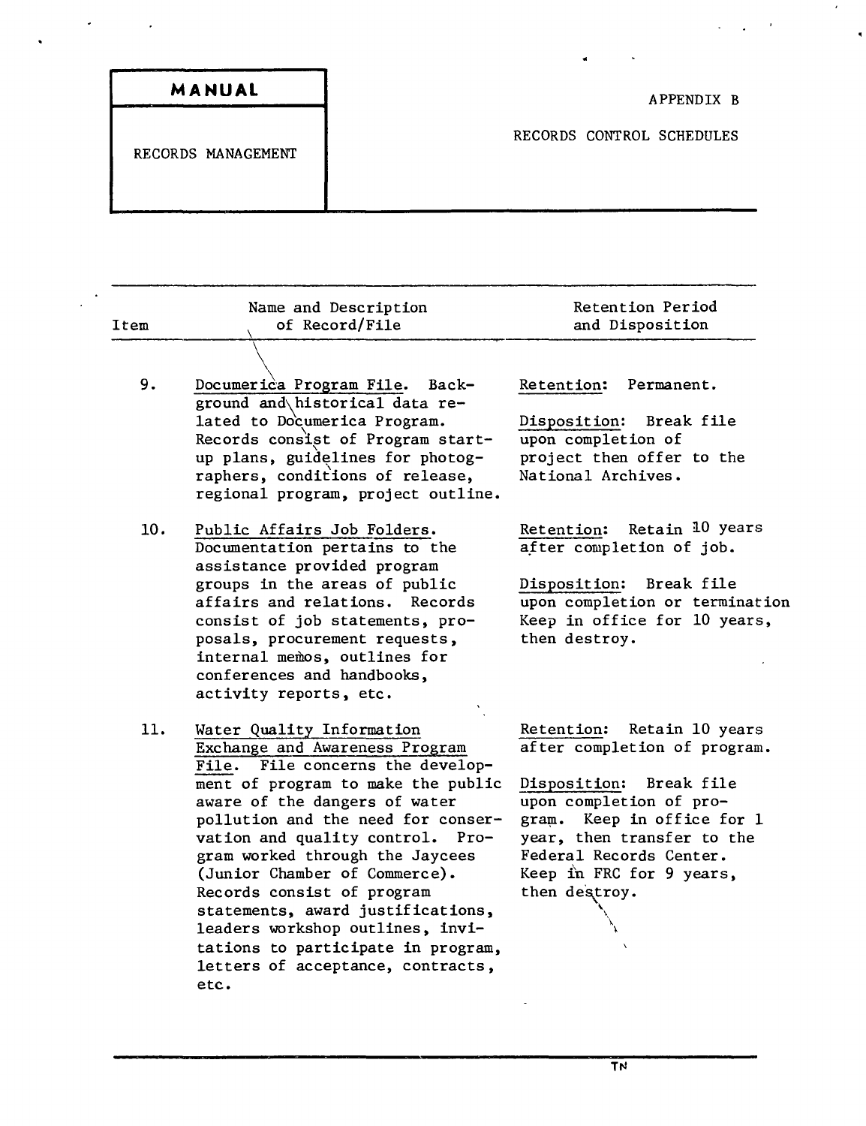| MANUAL             |
|--------------------|
| RECORDS MANAGEMENT |
|                    |

| Item | Name and Description<br>of Record/File                                                                                                                                                                                                                                                                                                                                                                                                | Retention Period<br>and Disposition                                                                                                                                                                                                                     |
|------|---------------------------------------------------------------------------------------------------------------------------------------------------------------------------------------------------------------------------------------------------------------------------------------------------------------------------------------------------------------------------------------------------------------------------------------|---------------------------------------------------------------------------------------------------------------------------------------------------------------------------------------------------------------------------------------------------------|
|      |                                                                                                                                                                                                                                                                                                                                                                                                                                       |                                                                                                                                                                                                                                                         |
| 9.   | Documerica Program File. Back-<br>ground and historical data re-<br>lated to Documerica Program.<br>Records consist of Program start-<br>up plans, guidelines for photog-                                                                                                                                                                                                                                                             | Retention:<br>Permanent.<br>Disposition:<br>Break file<br>upon completion of<br>project then offer to the                                                                                                                                               |
|      | raphers, conditions of release,<br>regional program, project outline.                                                                                                                                                                                                                                                                                                                                                                 | National Archives.                                                                                                                                                                                                                                      |
| 10.  | Public Affairs Job Folders.<br>Documentation pertains to the<br>assistance provided program                                                                                                                                                                                                                                                                                                                                           | Retain 10 years<br>Retention:<br>after completion of job.                                                                                                                                                                                               |
|      | groups in the areas of public<br>affairs and relations.<br>Records<br>consist of job statements, pro-<br>posals, procurement requests,<br>internal memos, outlines for<br>conferences and handbooks,<br>activity reports, etc.                                                                                                                                                                                                        | Disposition: Break file<br>upon completion or termination<br>Keep in office for 10 years,<br>then destroy.                                                                                                                                              |
| 11.  | Water Quality Information<br>Exchange and Awareness Program<br>File concerns the develop-<br><b>File.</b><br>ment of program to make the public<br>aware of the dangers of water<br>pollution and the need for conser-<br>vation and quality control. Pro-<br>gram worked through the Jaycees<br>(Junior Chamber of Commerce).<br>Records consist of program<br>statements, award justifications,<br>leaders workshop outlines, invi- | Retention: Retain 10 years<br>after completion of program.<br>Disposition: Break file<br>upon completion of pro-<br>Keep in office for 1<br>gram.<br>year, then transfer to the<br>Federal Records Center.<br>Keep in FRC for 9 years,<br>then destroy. |

tations to participate in program, letters of acceptance, contracts,

etc.

 $\sigma_{\rm{max}}=0.1$ 

 $\ddot{\phantom{0}}$ 

 $\ddot{\phantom{a}}$ 

 $\Delta$ 

 $\epsilon$ 

 $\hat{\mathbf{r}}$ 

ă.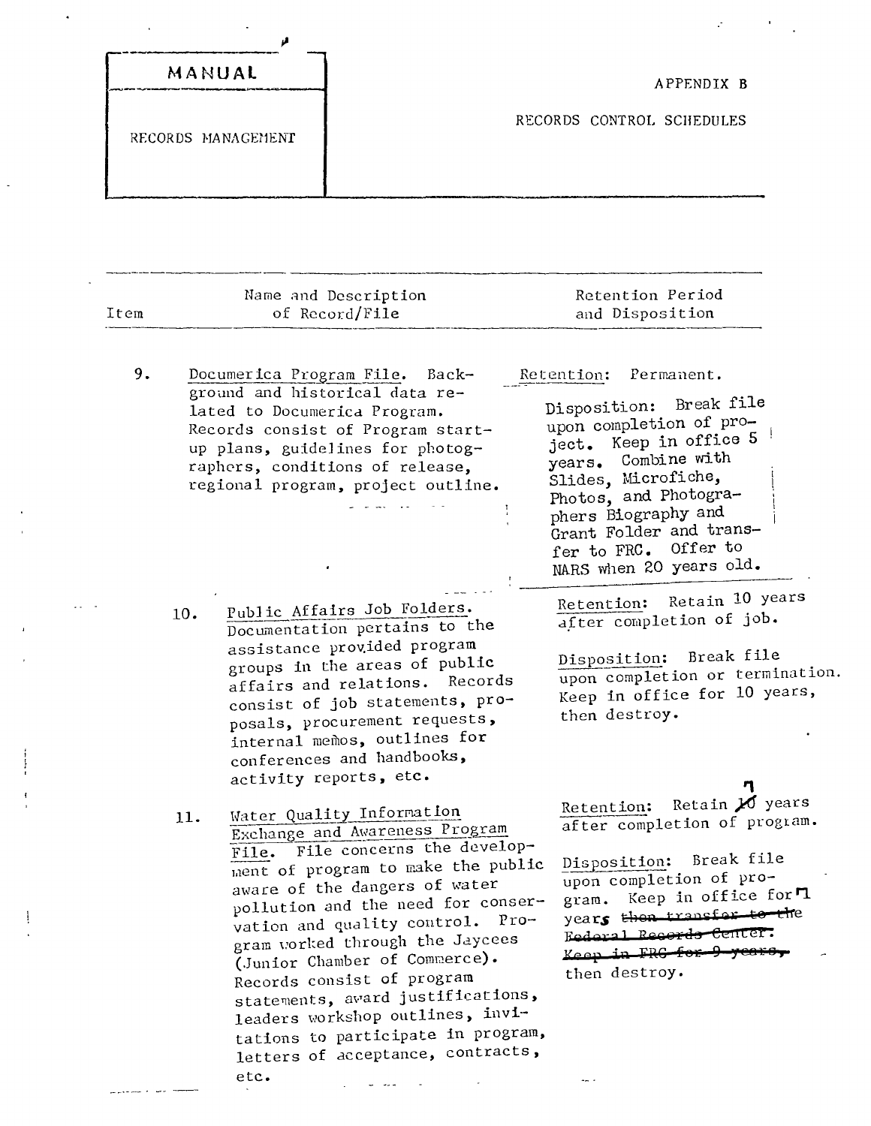|                    | $\overline{\phantom{a}}$<br>٠ |
|--------------------|-------------------------------|
| MANUAL             | APPENDIX B                    |
| RECORDS MANAGEMENT | RECORDS CONTROL SCHEDULES     |
|                    |                               |

| Item | Name and Description<br>of Record/File                                                                                                                                                                                                                                                                                                                                                                                                                                                                                | Retention Period<br>and Disposition                                                                                                                                                                                                                                                     |
|------|-----------------------------------------------------------------------------------------------------------------------------------------------------------------------------------------------------------------------------------------------------------------------------------------------------------------------------------------------------------------------------------------------------------------------------------------------------------------------------------------------------------------------|-----------------------------------------------------------------------------------------------------------------------------------------------------------------------------------------------------------------------------------------------------------------------------------------|
| 9.   | Documerica Program File. Back-<br>ground and historical data re-<br>lated to Documerica Program.<br>Records consist of Program start-<br>up plans, guidelines for photog-<br>raphers, conditions of release,<br>regional program, project outline.                                                                                                                                                                                                                                                                    | Retention:<br>Permanent.<br>Disposition: Break file<br>upon completion of pro-<br>ject. Keep in office 5<br>Combine with<br>years.<br>Slides, Microfiche,<br>Photos, and Photogra-<br>phers Biography and<br>Grant Folder and trans-<br>fer to FRC. Offer to<br>NARS when 20 years old. |
|      | Public Affairs Job Folders.<br>10.<br>Documentation pertains to the<br>assistance provided program<br>groups in the areas of public<br>affairs and relations. Records<br>consist of job statements, pro-<br>posals, procurement requests,<br>internal memos, outlines for<br>conferences and handbooks,<br>activity reports, etc.                                                                                                                                                                                     | Retain 10 years<br>Retention:<br>after completion of job.<br>Break file<br>Disposition:<br>upon completion or termination.<br>Keep in office for 10 years,<br>then destroy.                                                                                                             |
|      | Water Quality Information<br>11.<br>Exchange and Awareness Program<br>File. File concerns the develop-<br>ment of program to make the public<br>aware of the dangers of water<br>pollution and the need for conser-<br>vation and quality control. Pro-<br>gram worked through the Jaycees<br>(Junior Chamber of Commerce).<br>Records consist of program<br>statements, award justifications,<br>leaders workshop outlines, invi-<br>tations to participate in program,<br>letters of acceptance, contracts,<br>etc. | Retention: Retain 20 years<br>after completion of program.<br>Disposition: Break file<br>upon completion of pro-<br>gram. Keep in office for "1<br>years then transfor to the<br>Federal Records Center.<br>Keep in FRG for 9 years,<br>then destroy.<br>                               |

 $\frac{1}{\sqrt{2}}$ 

 $\mathbf{I}% _{0}\left( \mathbf{I}_{1}\right)$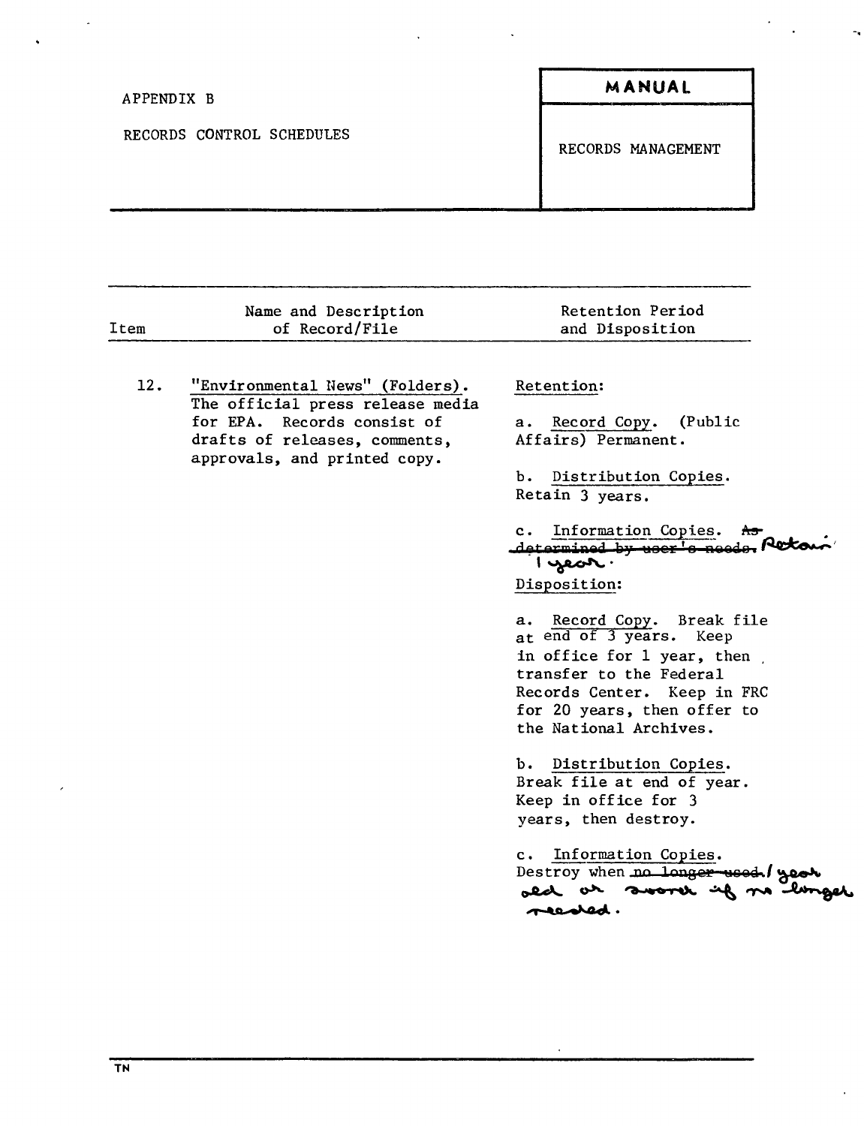| APPENDIX B                | MANUAL             |  |
|---------------------------|--------------------|--|
| RECORDS CONTROL SCHEDULES | RECORDS MANAGEMENT |  |
|                           |                    |  |

|      | Name and Description                                                                                                                                                | Retention Period                                                                                                                                                                                                                                                                                                                                                                                                                                    |
|------|---------------------------------------------------------------------------------------------------------------------------------------------------------------------|-----------------------------------------------------------------------------------------------------------------------------------------------------------------------------------------------------------------------------------------------------------------------------------------------------------------------------------------------------------------------------------------------------------------------------------------------------|
| Item | of Record/File                                                                                                                                                      | and Disposition                                                                                                                                                                                                                                                                                                                                                                                                                                     |
|      |                                                                                                                                                                     |                                                                                                                                                                                                                                                                                                                                                                                                                                                     |
| 12.  | "Environmental News" (Folders).<br>The official press release media<br>for EPA. Records consist of<br>drafts of releases, comments,<br>approvals, and printed copy. | Retention:<br>Record Copy. (Public<br>$\mathbf{a}$ .<br>Affairs) Permanent.<br>ъ.<br>Distribution Copies.<br>Retain 3 years.<br>Information Copies. As<br>$\mathbf{c}$ .<br>determined by user's needs. Reto<br>$1$ year.<br>Disposition:<br>a. Record Copy. Break file<br>at end of 3 years. Keep<br>in office for 1 year, then<br>transfer to the Federal<br>Records Center. Keep in FRC<br>for 20 years, then offer to<br>the National Archives. |
|      |                                                                                                                                                                     |                                                                                                                                                                                                                                                                                                                                                                                                                                                     |
|      |                                                                                                                                                                     | b. Distribution Copies.<br>Break file at end of year.                                                                                                                                                                                                                                                                                                                                                                                               |
|      |                                                                                                                                                                     | Keep in office for 3                                                                                                                                                                                                                                                                                                                                                                                                                                |
|      |                                                                                                                                                                     | years, then destroy.                                                                                                                                                                                                                                                                                                                                                                                                                                |
|      |                                                                                                                                                                     | Information Copies.<br>c.<br>Destroy when no longer used / year<br>ald at sooner if no longer<br>readed.                                                                                                                                                                                                                                                                                                                                            |
|      |                                                                                                                                                                     |                                                                                                                                                                                                                                                                                                                                                                                                                                                     |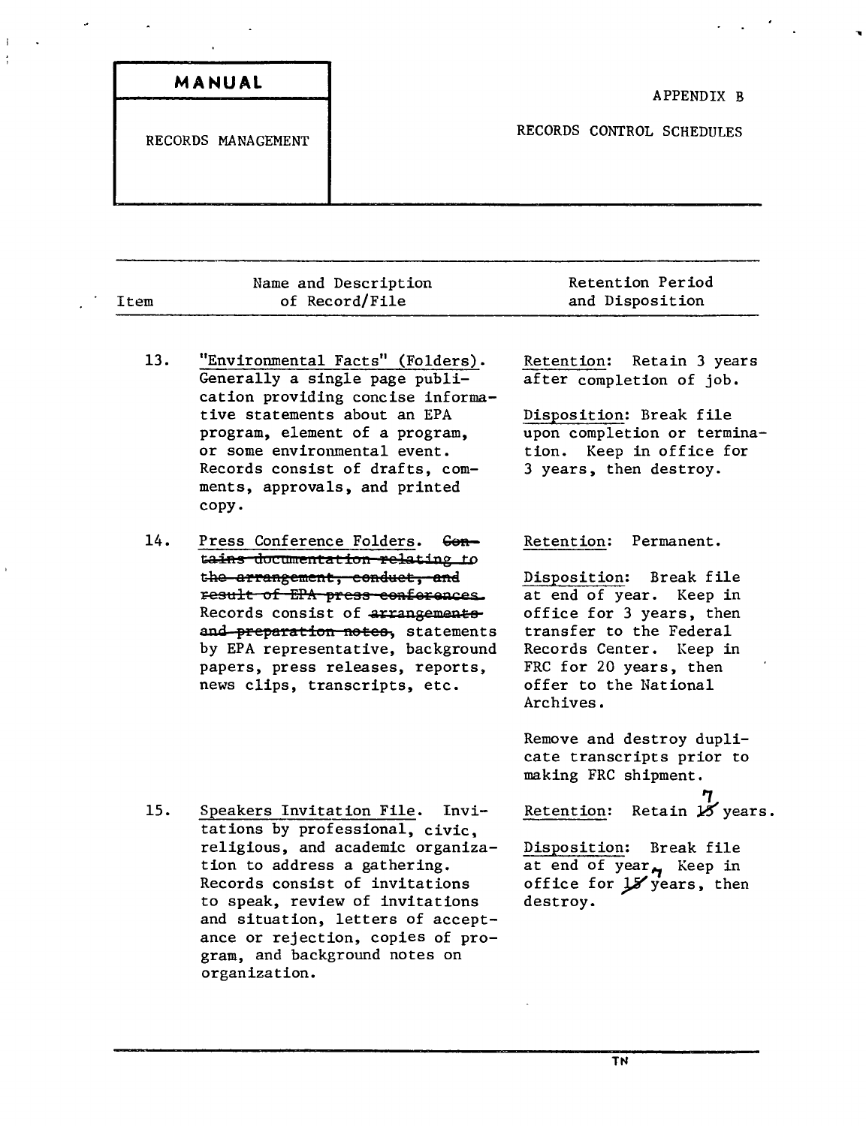| MANUAL<br>--       | APPENDIX B                |
|--------------------|---------------------------|
| RECORDS MANAGEMENT | RECORDS CONTROL SCHEDULES |
|                    |                           |

 $\mathcal{F}_{\mathcal{A}}$ 

 $\sim 10^{-1}$ 

| Item | Name and Description<br>of Record/File                                                                                                                                                                                                                                                                                   | Retention Period<br>and Disposition                                                                                                                                                                                              |
|------|--------------------------------------------------------------------------------------------------------------------------------------------------------------------------------------------------------------------------------------------------------------------------------------------------------------------------|----------------------------------------------------------------------------------------------------------------------------------------------------------------------------------------------------------------------------------|
| 13.  | "Environmental Facts" (Folders).<br>Generally a single page publi-<br>cation providing concise informa-<br>tive statements about an EPA<br>program, element of a program,<br>or some environmental event.<br>Records consist of drafts, com-<br>ments, approvals, and printed<br>copy.                                   | Retention: Retain 3 years<br>after completion of job.<br>Disposition: Break file<br>upon completion or termina-<br>tion. Keep in office for<br>3 years, then destroy.                                                            |
| 14.  | Press Conference Folders. Con-<br>tains documentation relating to<br>the arrangement, conduct, and<br>result of EPA press conferences.<br>Records consist of arrangements<br>and preparation notes, statements<br>by EPA representative, background<br>papers, press releases, reports,<br>news clips, transcripts, etc. | Retention:<br>Permanent.<br>Disposition: Break file<br>at end of year. Keep in<br>office for 3 years, then<br>transfer to the Federal<br>Records Center. Keep in<br>FRC for 20 years, then<br>offer to the National<br>Archives. |
|      |                                                                                                                                                                                                                                                                                                                          | Remove and destroy dupli-<br>cate transcripts prior to<br>making FRC shipment.                                                                                                                                                   |
| 15.  | Speakers Invitation File. Invi-<br>tations by professional, civic.<br>religious, and academic organiza-<br>tion to address a gathering.<br>Records consist of invitations                                                                                                                                                | Retention:<br>Retain 18 years.<br>Disposition:<br>Break file<br>at end of year <sub><sup>4</sup></sub> Keep in<br>office for $J$ years, then                                                                                     |

to speak, review of invitations and situation, letters of acceptance or rejection, copies of program, and background notes on

organization.

 $\omega$ 

 $\mathbf{j}$  $\ddot{\cdot}$ 

 $\mathbf{r}$ 

 $\ddot{\phantom{a}}$ 

**TN**

destroy.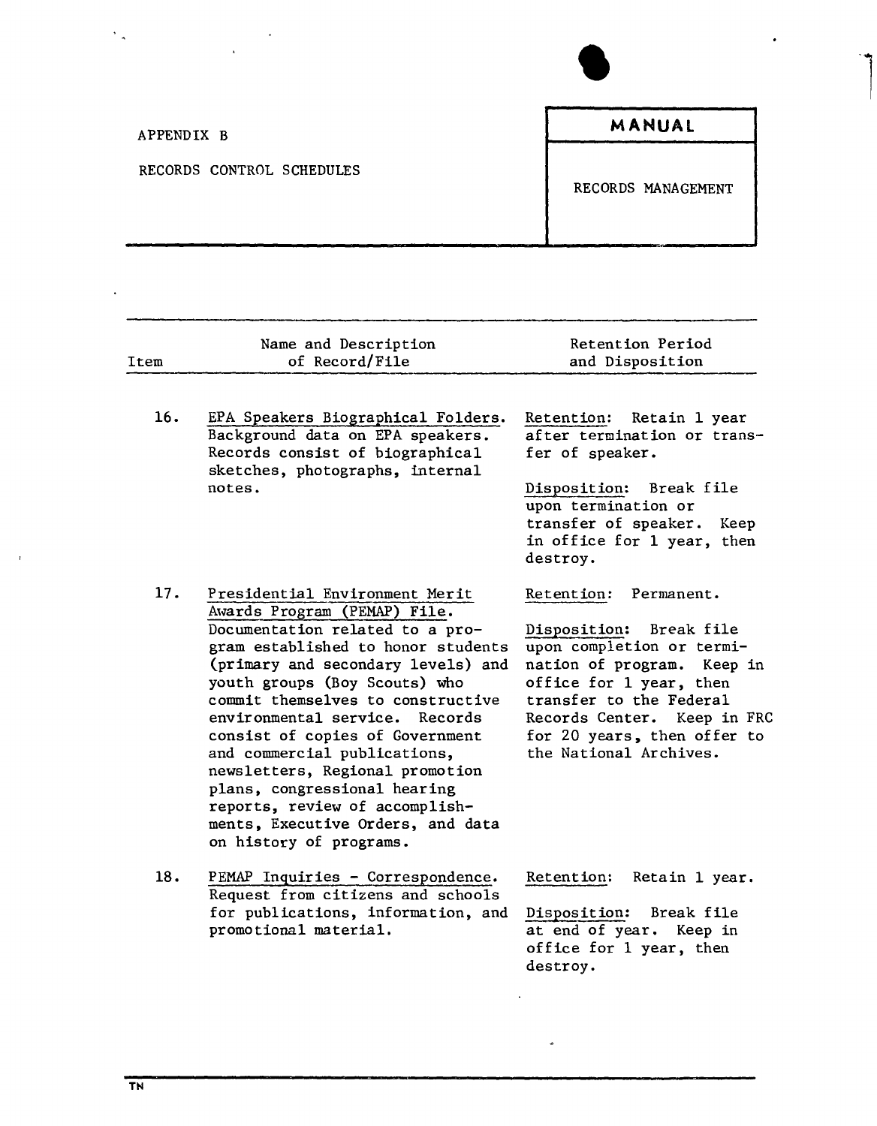| $\blacksquare$<br>$\sim$  |                    |
|---------------------------|--------------------|
| APPENDIX B                | MANUAL             |
| RECORDS CONTROL SCHEDULES | RECORDS MANAGEMENT |

| Item | Name and Description<br>of Record/File                                                                                                                                                                                                                                                                                                                                                                                                                                                                                        | Retention Period<br>and Disposition                                                                                                                                                                                                                          |
|------|-------------------------------------------------------------------------------------------------------------------------------------------------------------------------------------------------------------------------------------------------------------------------------------------------------------------------------------------------------------------------------------------------------------------------------------------------------------------------------------------------------------------------------|--------------------------------------------------------------------------------------------------------------------------------------------------------------------------------------------------------------------------------------------------------------|
| 16.  | EPA Speakers Biographical Folders.<br>Background data on EPA speakers.<br>Records consist of biographical<br>sketches, photographs, internal<br>notes.                                                                                                                                                                                                                                                                                                                                                                        | Retain 1 year<br><b>Retention:</b><br>after termination or trans-<br>fer of speaker.<br>Disposition:<br>Break file<br>upon termination or<br>transfer of speaker. Keep                                                                                       |
|      |                                                                                                                                                                                                                                                                                                                                                                                                                                                                                                                               | in office for 1 year, then<br>destroy.                                                                                                                                                                                                                       |
| 17.  | Presidential Environment Merit<br>Awards Program (PEMAP) File.<br>Documentation related to a pro-<br>gram established to honor students<br>(primary and secondary levels) and<br>youth groups (Boy Scouts) who<br>commit themselves to constructive<br>environmental service. Records<br>consist of copies of Government<br>and commercial publications,<br>newsletters, Regional promotion<br>plans, congressional hearing<br>reports, review of accomplish-<br>ments, Executive Orders, and data<br>on history of programs. | Retention: Permanent.<br>Disposition:<br>Break file<br>upon completion or termi-<br>nation of program. Keep in<br>office for 1 year, then<br>transfer to the Federal<br>Records Center. Keep in FRC<br>for 20 years, then offer to<br>the National Archives. |
| 18.  | PEMAP Inquiries - Correspondence.<br>Request from citizens and schools<br>for publications, information, and<br>promotional material.                                                                                                                                                                                                                                                                                                                                                                                         | Retention:<br>Retain 1 year.<br>Disposition:<br>Break file<br>at end of year. Keep in<br>office for 1 year, then<br>destroy.                                                                                                                                 |

 $\ddot{\phantom{0}}$ 

l,

 $\overline{1}$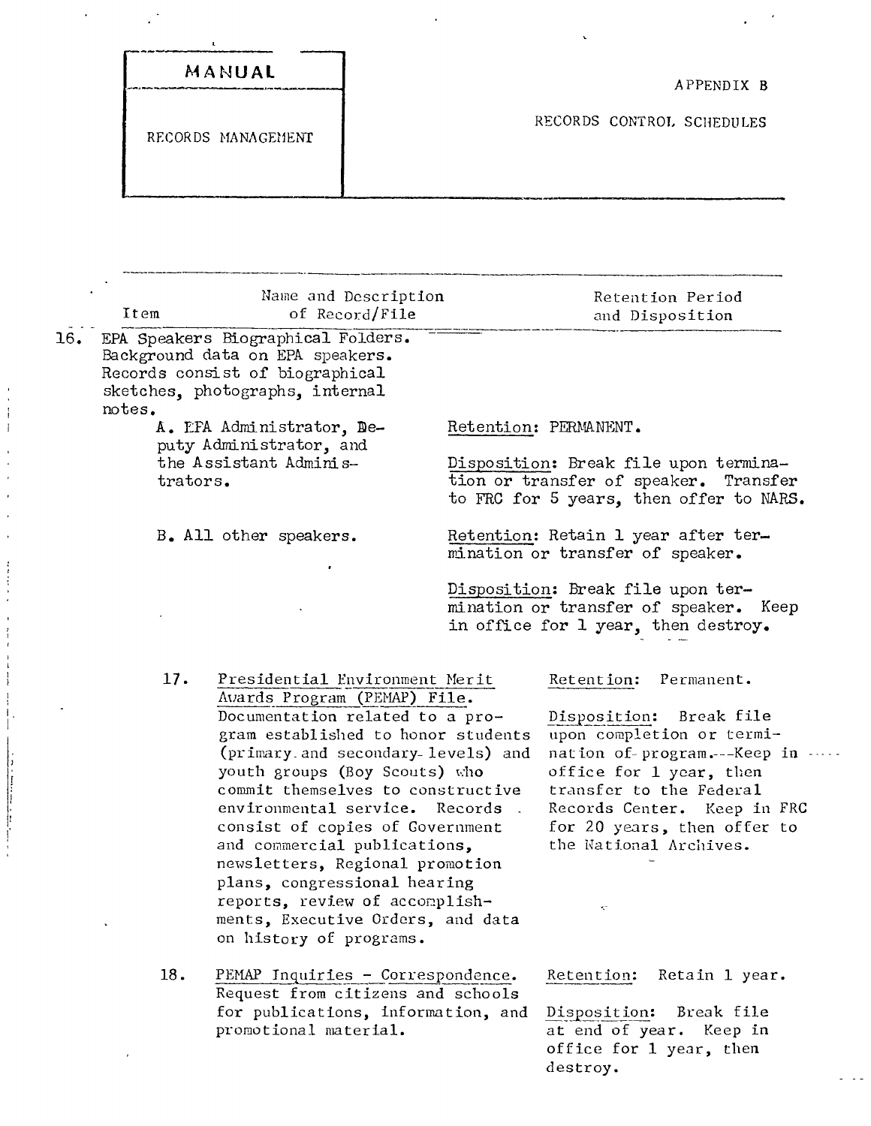| MANUAL             |                           |
|--------------------|---------------------------|
|                    | APPENDIX B                |
| RECORDS MANAGEMENT | RECORDS CONTROL SCHEDULES |
|                    |                           |
|                    |                           |

 $\mathcal{L}_{\mathcal{A}}$ 

 $\hat{\boldsymbol{\beta}}$  $\ddot{\phantom{a}}$ 

 $\mathcal{O}(\mathbb{R}^d)$ 

|     | Item     | Name and Description<br>of Record/File                                                                                                                                                                                                                                                                                                                                                                                                                                                                                         | Retention Period<br>and Disposition                                                                                                                                                                                                                                     |
|-----|----------|--------------------------------------------------------------------------------------------------------------------------------------------------------------------------------------------------------------------------------------------------------------------------------------------------------------------------------------------------------------------------------------------------------------------------------------------------------------------------------------------------------------------------------|-------------------------------------------------------------------------------------------------------------------------------------------------------------------------------------------------------------------------------------------------------------------------|
| 16. |          | EPA Speakers Biographical Folders.<br>Background data on EPA speakers.<br>Records consist of biographical<br>sketches, photographs, internal                                                                                                                                                                                                                                                                                                                                                                                   |                                                                                                                                                                                                                                                                         |
|     | notes.   | A. EPA Administrator, De-                                                                                                                                                                                                                                                                                                                                                                                                                                                                                                      | Retention: PERMANENT.                                                                                                                                                                                                                                                   |
|     | trators. | puty Administrator, and<br>the Assistant Adminis-                                                                                                                                                                                                                                                                                                                                                                                                                                                                              | Disposition: Break file upon termina-<br>tion or transfer of speaker. Transfer<br>to FRC for 5 years, then offer to NARS.                                                                                                                                               |
|     |          | B. All other speakers.                                                                                                                                                                                                                                                                                                                                                                                                                                                                                                         | Retention: Retain 1 year after ter-<br>mination or transfer of speaker.                                                                                                                                                                                                 |
|     |          |                                                                                                                                                                                                                                                                                                                                                                                                                                                                                                                                | Disposition: Break file upon ter-<br>mination or transfer of speaker. Keep<br>in office for 1 year, then destroy.                                                                                                                                                       |
|     | 17.      | Presidential Environment Merit<br>Avards Program (PEMAP) File.<br>Documentation related to a pro-<br>gram established to honor students<br>(primary and secondary levels) and<br>youth groups (Boy Scouts) who<br>commit themselves to constructive<br>environmental service. Records.<br>consist of copies of Covernment<br>and commercial publications,<br>newsletters, Regional promotion<br>plans, congressional hearing<br>reports, review of accomplish-<br>ments, Executive Orders, and data<br>on history of programs. | Retention:<br>Permanent.<br>Disposition:<br>Break file<br>upon completion or termi-<br>nation of program.---Keep in<br>office for 1 year, then<br>transfer to the Federal<br>Records Center. Keep in FRC<br>for 20 years, then offer to<br>the National Archives.<br>K. |
|     | 18.      | PEMAP Inquiries - Correspondence.<br>Request from citizens and schools<br>for publications, information, and<br>promotional material.                                                                                                                                                                                                                                                                                                                                                                                          | Retention:<br>Retain 1 year.<br>Disposition:<br>Break file<br>at end of year. Keep in<br>office for 1 year, then<br>destroy.                                                                                                                                            |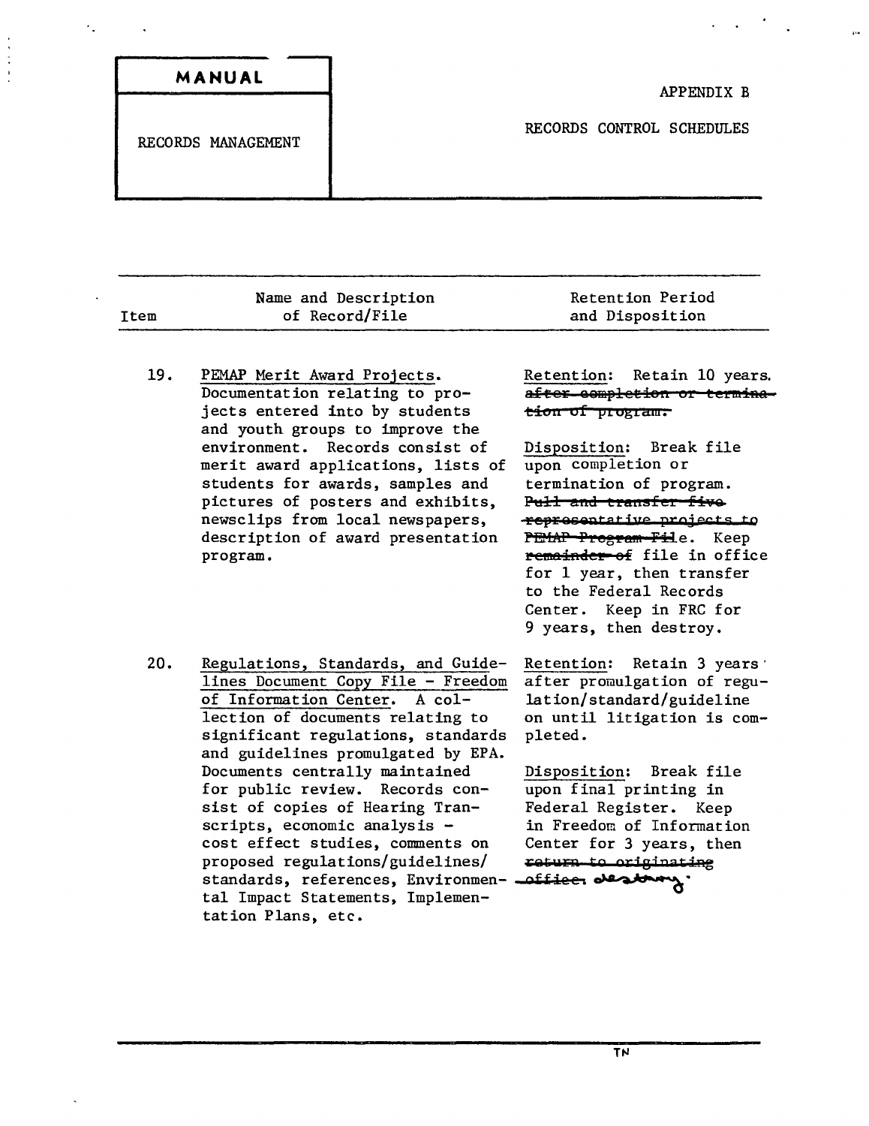| RECORDS MANAGEMENT | RECORDS CONTROL SCHEDULES |
|--------------------|---------------------------|

|      | Name and Description | Retention Period |
|------|----------------------|------------------|
| Ttem | of Record/File       | and Disposition  |
|      |                      |                  |

19. PEMAP Merit Award Projects. Documentation relating to projects entered into by students and youth groups to improve the environment. Records consist of merit award applications, lists of students for awards, samples and pictures of posters and exhibits, newsclips from local newspapers, description of award presentation program.

Retention: Retain 10 years. after completion or termina**tiOfl of ptogta'fi.**

Disposition: Break file upon completion or termination of program. **Pull and transfer five pe,rQeQPtat ;1'0 prove t 5 to** PEMAP Program File. Keep remainder of file in office for 1 year, then transfer to the Federal Records Center. Keep in FRC for 9 years, then destroy.

20. Regulations, Standards, and Guidelines Document Copy File - Freedom of Information Center. A collection of documents relating to significant regulations, standards and guidelines promulgated by EPA. Documents centrally maintained for public review. Records consist of copies of Hearing Transcripts, economic analysis cost effect studies, comments on proposed regulations/guidelines/ standards, references, Environmen- <del>-offiee.</del> • tal Impact Statements, Implementation Plans, etc.

Retention: Retain 3 years' after promulgation of regulation/standard/guideline on until litigation is completed.

Disposition: Break file upon final printing in Federal Register. Keep in Freedom of Information Center for 3 years, then  $return to originating$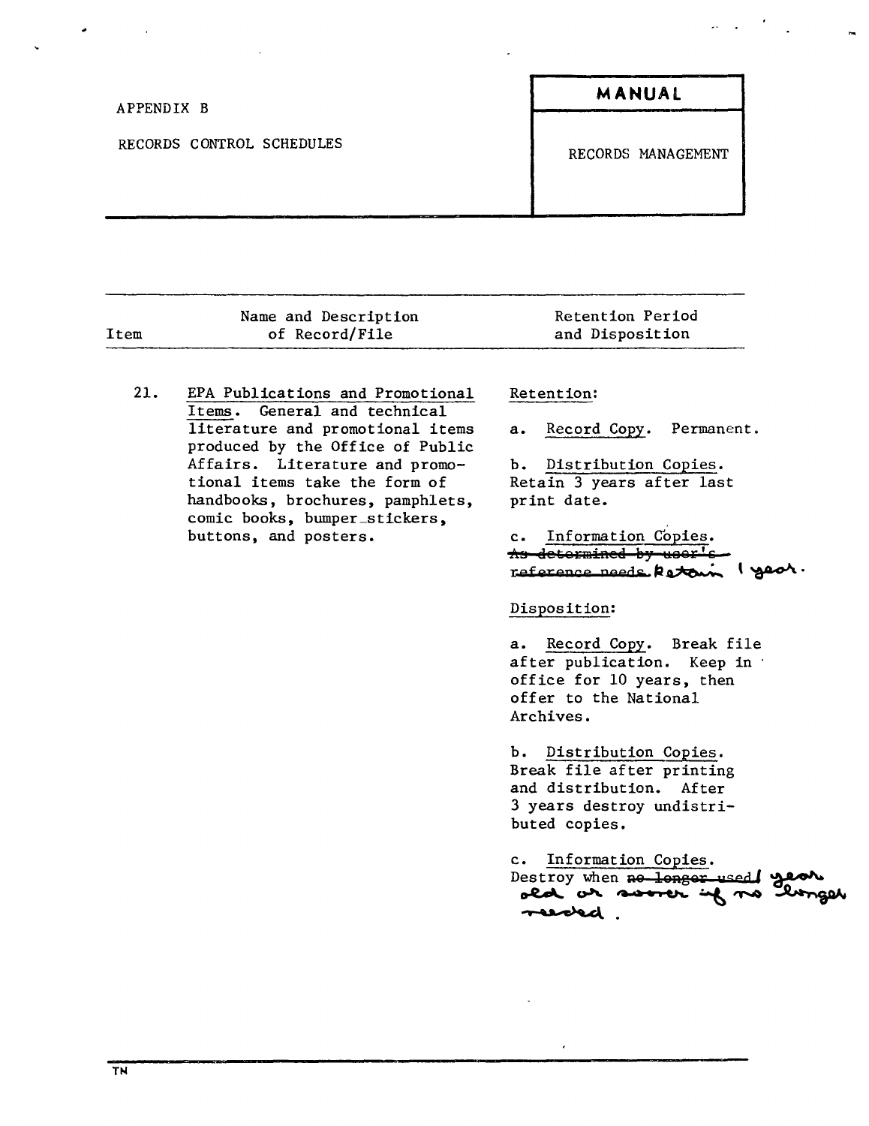| APPENDIX B                | MANUAL             |
|---------------------------|--------------------|
| RECORDS CONTROL SCHEDULES | RECORDS MANAGEMENT |
|                           |                    |

| of Record/File<br>Item<br>and Disposition | Name and Description | Retention Period |
|-------------------------------------------|----------------------|------------------|
|                                           |                      |                  |

21. EPA Publications and Promotional Items. General and technical literature and promotional items produced by the Office of Public Affairs. Literature and promotional items take the form of handbooks, brochures, pamphlets, comic books, bumper\_stickers, buttons, and posters.

### Retention:

a. Record Copy. Permanent.

b. Distribution Copies. Retain 3 years after last print date.

c. Information Copies.  $\frac{1}{2}$  determined by user's reference needs **petour** 1 year.

#### Disposition:

a. Record Copy. Break file after publication. Keep in ' office for 10 years, then offer to the National Archives.

b. Distribution Copies. Break file after printing and distribution. After 3 years destroy undistributed copies.

c. Information Copies. Destroy when no longer used year  $\bm{\sim}$   $\bm{\sim}$  .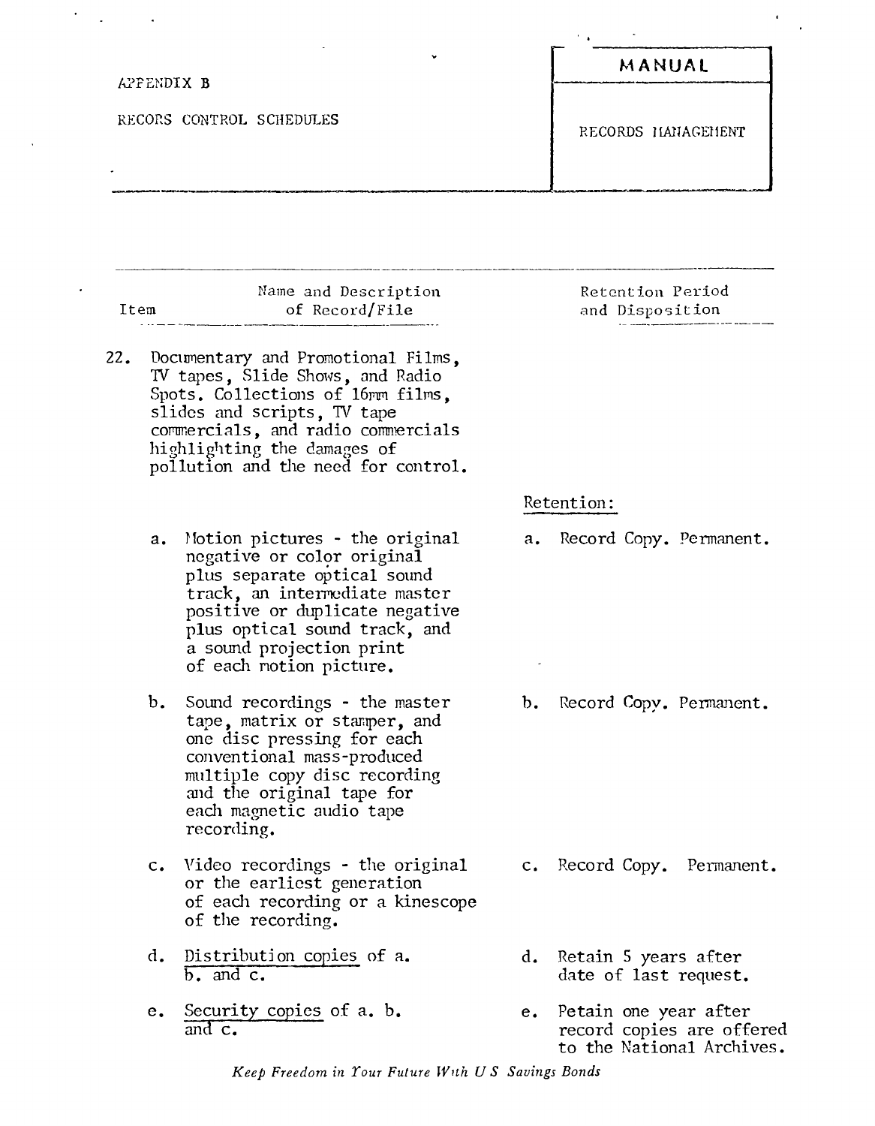|                          | ٠ | MANUAL             |
|--------------------------|---|--------------------|
| APPENDIX B               |   |                    |
| RECORS CONTROL SCHEDULES |   | RECORDS HANAGEHENT |

|      | Name and Description |
|------|----------------------|
| Item | of Record/File       |
|      |                      |

- 22. Documentary and Promotional Films, TV tapes, Slide Shows, and Radio Spots. Collections of 16mm films, slides and scripts, TV tape commercials, and radio commercials highlighting the damages of pollution and the need for control.
	- a. Hotion pictures the original negative or color original plus separate optical sound track, an intermediate master positive or duplicate negative plus optical sound track, and a sound projection print of each notion picture.
	- b. Sound recordings the master tape, matrix or stamper, and one disc pressing for each conventional mass-produced multiple copy disc recording and the original tape for each magnetic audio tape recording.
	- c. Video recordings the original or the earliest generation of eadl recording or a kinescope of the recording.
	- d. Distribution copies of a.  $\overline{b}$ . and  $\overline{c}$ .
	- e. Security copies of a. b. and c.

Retention Period and Disposition

Retention:

a. Record Copy. Permanent.

b. Record Copy. Permanent.

- c. Record Copy. Permanent.
- d. Retain 5 years after date of last request.
- e. Petain one year after record copies are offered to the National Archives.

*Keep Freedom in Tour Futu.re With US Savings Bonds*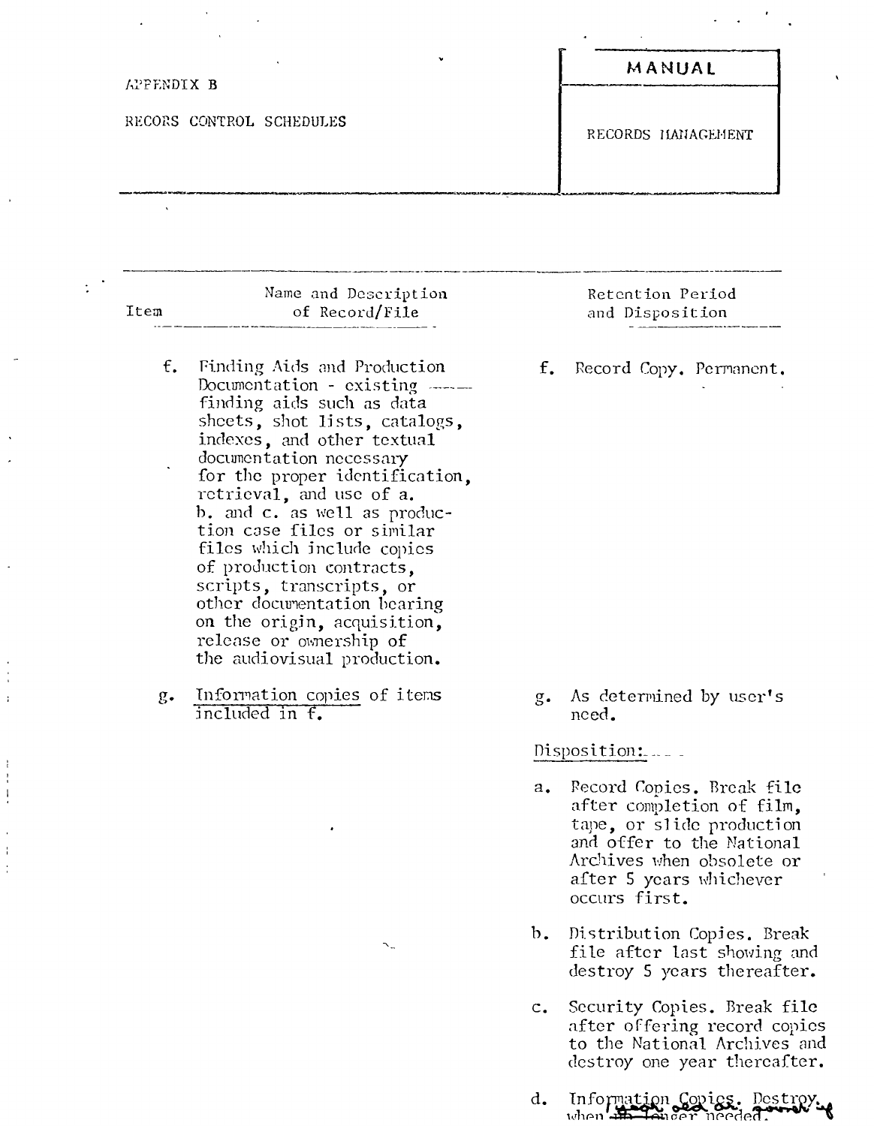| APPENDIX B               | $\check{}$ | MANUAL             |
|--------------------------|------------|--------------------|
| RECORS CONTROL SCHEDULES |            | RECORDS HANAGEMENT |
|                          |            |                    |

 $\ddot{\phantom{a}}$ 

 $\ddot{\cdot}$ 

 $\frac{1}{4}$  $\ddot{\phantom{a}}$ 

 $\frac{1}{4}$  $\frac{1}{4}$  $\frac{1}{2}$ 

 $\frac{1}{2}$ ÷

| Item          | Name and Description<br>of Record/File                                                                                                                                                                                                                                                                                                                                                                                                                                                                                         | Retention Period<br>and Disposition                                                                                                                                                       |
|---------------|--------------------------------------------------------------------------------------------------------------------------------------------------------------------------------------------------------------------------------------------------------------------------------------------------------------------------------------------------------------------------------------------------------------------------------------------------------------------------------------------------------------------------------|-------------------------------------------------------------------------------------------------------------------------------------------------------------------------------------------|
| $f_{\bullet}$ | Finding Aids and Production<br>Documentation - existing $---$<br>finding aids such as data<br>sheets, shot lists, catalogs,<br>indexes, and other textual<br>documentation necessary<br>for the proper identification,<br>retrieval, and use of a.<br>b. and c. as well as produc-<br>tion case files or similar<br>files which include copies<br>of production contracts,<br>scripts, transcripts, or<br>other documentation bearing<br>on the origin, acquisition,<br>release or ownership of<br>the audiovisual production. | $f_{\bullet}$<br>Record Copy. Permanent.                                                                                                                                                  |
| $g_{\bullet}$ | Information copies of items<br>included in f.                                                                                                                                                                                                                                                                                                                                                                                                                                                                                  | As determined by user's<br>$g_{\bullet}$<br>need.<br>Disposition:                                                                                                                         |
|               |                                                                                                                                                                                                                                                                                                                                                                                                                                                                                                                                | Record Copies. Break file<br>$a_{\bullet}$<br>after completion of film,<br>tape, or slide production<br>and offer to the National<br>Archives when obsolete or<br>after 5 years whichever |

Distribution Copies. Break<br>file after last showing and<br>destroy 5 years thereafter.  $<sub>b</sub>$ .</sub>

occurs first.

- Security Copies. Break file<br>after offering record copies<br>to the National Archives and<br>destroy one year thereafter.  $\mathbf{c}$ .
- Information Covics. Destroy. d.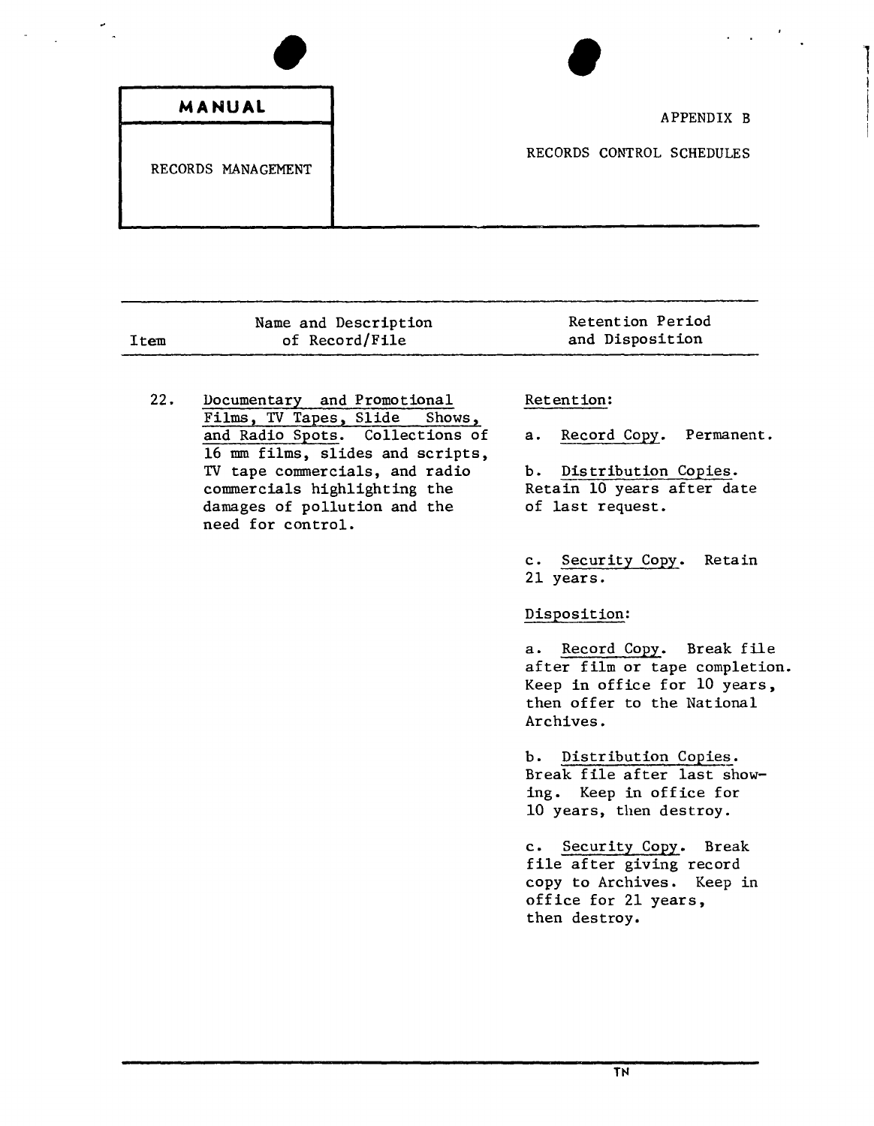### **MANUAL**

## RECORDS MANAGEMENT

# en de la proposa de la proposa de la proposa de la proposa de la proposa de la proposa de la proposa de la proposa de la proposa de la proposa de la proposa de la proposa de la proposa de la proposa de la proposa de la pro APPENDIX B

RECORDS CONTROL SCHEDULES

|      | Name and Description | Retention Period |
|------|----------------------|------------------|
| Item | of Record/File       | and Disposition  |
|      |                      |                  |

22. Documentary and Promotional Films, TV Tapes, Slide Shows, and Radio Spots. Collections of 16 mm films, slides and scripts, TV tape commercials, and radio commercials highlighting the damages of pollution and the need for control.

## Retention:

a. Record Copy. Permanent.

b. Distribution Copies. Retain 10 years after date of last request.

c. Security Copy. Retain 21 years.

#### Disposition:

a. Record Copy. Break file after film or tape completion. Keep in office for 10 years, then offer to the National Archives.

b. Distribution Copies. Break file after last showing. Keep in office for 10 years, then destroy.

c. Security Copy. Break file after giving record copy to Archives. Keep in office for 21 years, then destroy.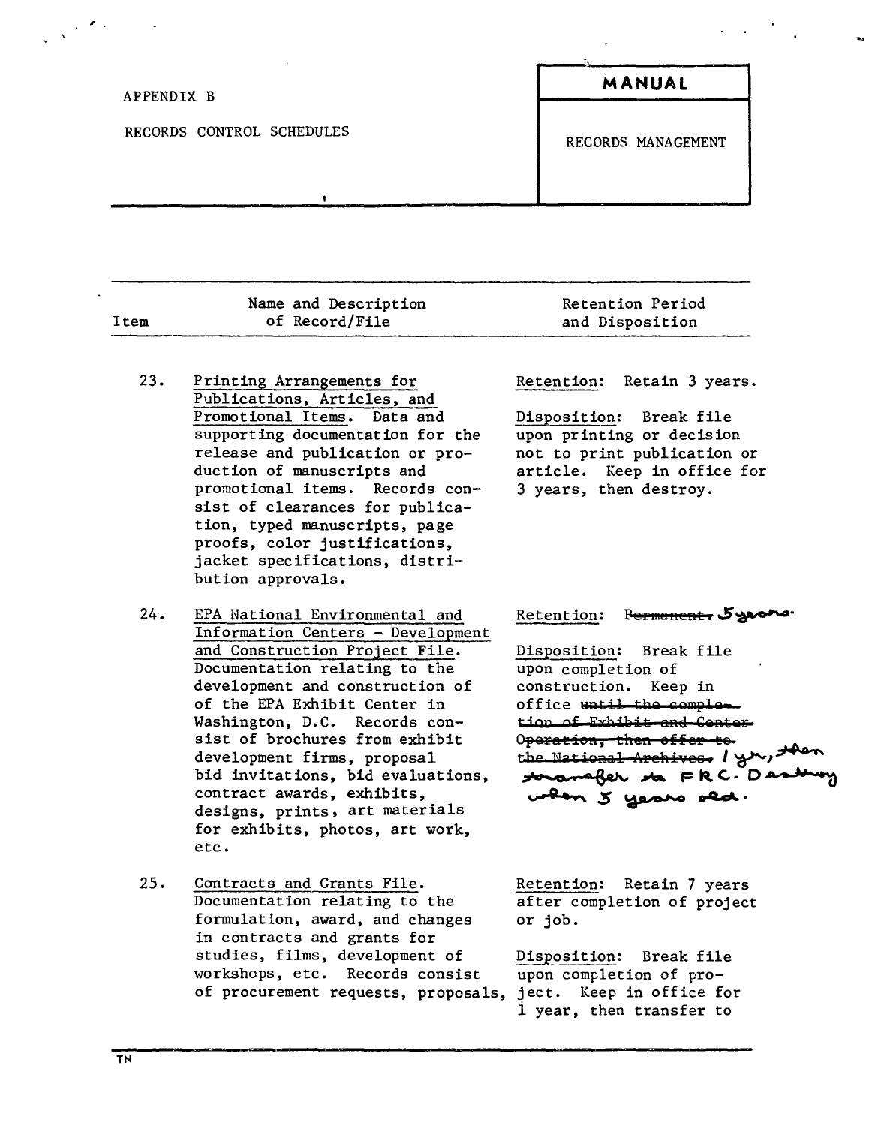| APPENDIX B                | MANUAL             |
|---------------------------|--------------------|
| RECORDS CONTROL SCHEDULES | RECORDS MANAGEMENT |
|                           |                    |

|      |  | Name and Description | Retention Period |  |  |
|------|--|----------------------|------------------|--|--|
| Item |  | of Record/File       | and Disposition  |  |  |
|      |  |                      |                  |  |  |

- $23.$ Printing Arrangements for Publications, Articles, and Promotional Items. Data and supporting documentation for the release and publication or production of manuscripts and promotional items. Records consist of clearances for publication, typed manuscripts, page proofs, color justifications, jacket specifications, distribution approvals.
- $24.$ EPA National Environmental and Information Centers - Development and Construction Project File. Documentation relating to the development and construction of of the EPA Exhibit Center in Washington, D.C. Records consist of brochures from exhibit development firms, proposal bid invitations, bid evaluations, contract awards, exhibits, designs, prints, art materials for exhibits, photos, art work, etc.
- $25.$ Contracts and Grants File. Documentation relating to the formulation, award, and changes in contracts and grants for studies, films, development of workshops, etc. Records consist of procurement requests, proposals,

Retain 3 years. Retention:

Disposition: Break file upon printing or decision not to print publication or article. Keep in office for 3 years, then destroy.

#### Retention: Permanent, 5yroro.

Disposition: Break file upon completion of construction. Keep in office watil the completion of Exhibit and Contor Operation, then offer te. the National Archives. I you, then to anafer to FRC. Destroy when 5 years old.

Retention: Retain 7 years after completion of project or job.

Disposition: Break file upon completion of project. Keep in office for 1 year, then transfer to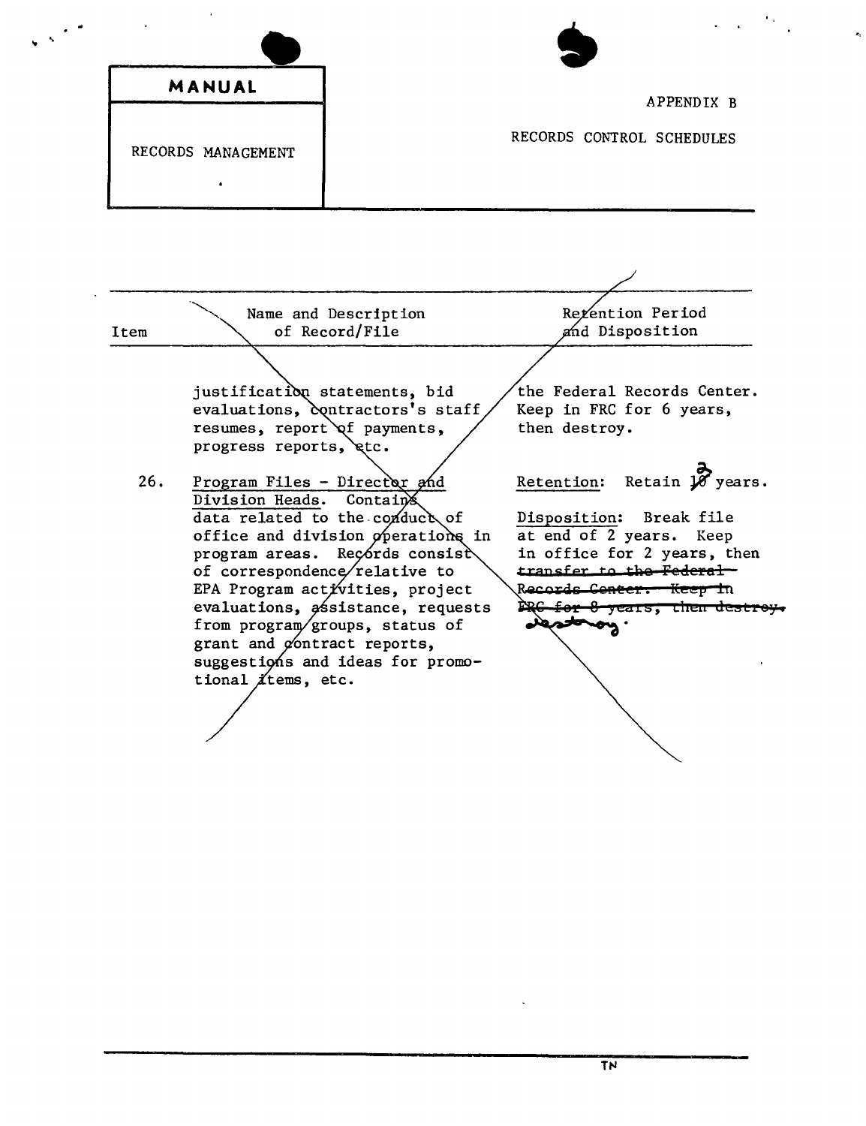